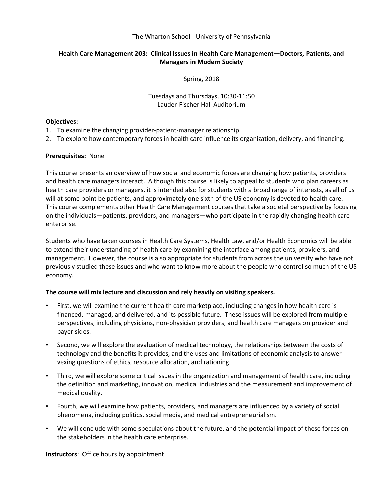#### The Wharton School - University of Pennsylvania

# **Health Care Management 203: Clinical Issues in Health Care Management—Doctors, Patients, and Managers in Modern Society**

Spring, 2018

Tuesdays and Thursdays, 10:30-11:50 Lauder-Fischer Hall Auditorium

#### **Objectives:**

- 1. To examine the changing provider-patient-manager relationship
- 2. To explore how contemporary forces in health care influence its organization, delivery, and financing.

## **Prerequisites:** None

This course presents an overview of how social and economic forces are changing how patients, providers and health care managers interact. Although this course is likely to appeal to students who plan careers as health care providers or managers, it is intended also for students with a broad range of interests, as all of us will at some point be patients, and approximately one sixth of the US economy is devoted to health care. This course complements other Health Care Management courses that take a societal perspective by focusing on the individuals—patients, providers, and managers—who participate in the rapidly changing health care enterprise.

Students who have taken courses in Health Care Systems, Health Law, and/or Health Economics will be able to extend their understanding of health care by examining the interface among patients, providers, and management. However, the course is also appropriate for students from across the university who have not previously studied these issues and who want to know more about the people who control so much of the US economy.

#### **The course will mix lecture and discussion and rely heavily on visiting speakers.**

- First, we will examine the current health care marketplace, including changes in how health care is financed, managed, and delivered, and its possible future. These issues will be explored from multiple perspectives, including physicians, non-physician providers, and health care managers on provider and payer sides.
- Second, we will explore the evaluation of medical technology, the relationships between the costs of technology and the benefits it provides, and the uses and limitations of economic analysis to answer vexing questions of ethics, resource allocation, and rationing.
- Third, we will explore some critical issues in the organization and management of health care, including the definition and marketing, innovation, medical industries and the measurement and improvement of medical quality.
- Fourth, we will examine how patients, providers, and managers are influenced by a variety of social phenomena, including politics, social media, and medical entrepreneurialism.
- We will conclude with some speculations about the future, and the potential impact of these forces on the stakeholders in the health care enterprise.

**Instructors**: Office hours by appointment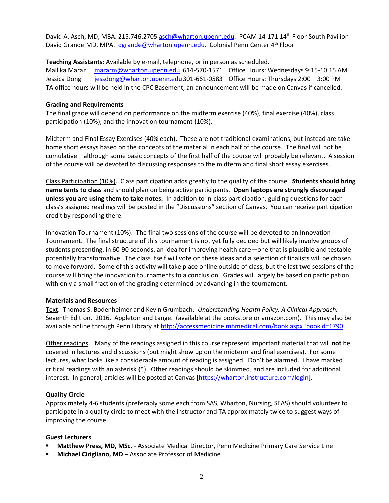David A. Asch, MD, MBA. 215.746.2705 [asch@wharton.upenn.edu.](file:///C:/Users/dgrande/AppData/Local/Microsoft/Windows/Temporary%20Internet%20Files/Content.Outlook/4QLCXZ0D/asch@wharton.upenn.edu) PCAM 14-171 14<sup>th</sup> Floor South Pavilion David Grande MD, MPA. [dgrande@wharton.upenn.edu.](mailto:dgrande@wharton.upenn.edu) Colonial Penn Center 4<sup>th</sup> Floor

**Teaching Assistants:** Available by e-mail, telephone, or in person as scheduled.

Mallika Marar [mararm@wharton.upenn.edu](mailto:mararm@wharton.upenn.edu) 614-570-1571 Office Hours: Wednesdays 9:15-10:15 AM Jessica Dong [jessdong@wharton.upenn.edu3](mailto:jessdong@wharton.upenn.edu)01-661-0583 Office Hours: Thursdays 2:00 – 3:00 PM TA office hours will be held in the CPC Basement; an announcement will be made on Canvas if cancelled.

## **Grading and Requirements**

The final grade will depend on performance on the midterm exercise (40%), final exercise (40%), class participation (10%), and the innovation tournament (10%).

Midterm and Final Essay Exercises (40% each). These are not traditional examinations, but instead are takehome short essays based on the concepts of the material in each half of the course. The final will not be cumulative—although some basic concepts of the first half of the course will probably be relevant. A session of the course will be devoted to discussing responses to the midterm and final short essay exercises.

Class Participation (10%). Class participation adds greatly to the quality of the course. **Students should bring name tents to class** and should plan on being active participants. **Open laptops are strongly discouraged unless you are using them to take notes.** In addition to in-class participation, guiding questions for each class's assigned readings will be posted in the "Discussions" section of Canvas. You can receive participation credit by responding there.

Innovation Tournament (10%). The final two sessions of the course will be devoted to an Innovation Tournament. The final structure of this tournament is not yet fully decided but will likely involve groups of students presenting, in 60-90 seconds, an idea for improving health care—one that is plausible and testable potentially transformative. The class itself will vote on these ideas and a selection of finalists will be chosen to move forward. Some of this activity will take place online outside of class, but the last two sessions of the course will bring the innovation tournaments to a conclusion. Grades will largely be based on participation with only a small fraction of the grading determined by advancing in the tournament.

# **Materials and Resources**

Text. Thomas S. Bodenheimer and Kevin Grumbach. *Understanding Health Policy. A Clinical Approach.* Seventh Edition. 2016. Appleton and Lange. (available at the bookstore or amazon.com). This may also be available online through Penn Library a[t http://accessmedicine.mhmedical.com/book.aspx?bookid=1790](http://accessmedicine.mhmedical.com/book.aspx?bookid=1790)

Other readings. Many of the readings assigned in this course represent important material that will **not** be covered in lectures and discussions (but might show up on the midterm and final exercises). For some lectures, what looks like a considerable amount of reading is assigned. Don't be alarmed. I have marked critical readings with an asterisk (\*). Other readings should be skimmed, and are included for additional interest. In general, articles will be posted at Canvas [\[https://wharton.instructure.com/login\]](https://wharton.instructure.com/login).

# **Quality Circle**

Approximately 4-6 students (preferably some each from SAS, Wharton, Nursing, SEAS) should volunteer to participate in a quality circle to meet with the instructor and TA approximately twice to suggest ways of improving the course.

#### **Guest Lecturers**

- **Matthew Press, MD, MSc.** Associate Medical Director, Penn Medicine Primary Care Service Line
- **Michael Cirigliano, MD** Associate Professor of Medicine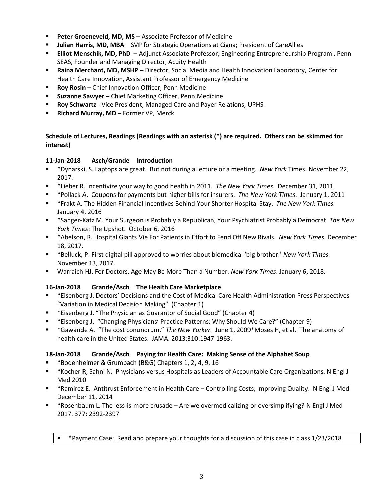- **Peter Groeneveld, MD, MS** Associate Professor of Medicine
- **Julian Harris, MD, MBA** SVP for Strategic Operations at Cigna; President of CareAllies
- **Elliot Menschik, MD, PhD**  Adjunct Associate Professor, Engineering Entrepreneurship Program , Penn SEAS, Founder and Managing Director, Acuity Health
- **Raina Merchant, MD, MSHP** Director, Social Media and Health Innovation Laboratory, Center for Health Care Innovation, Assistant Professor of Emergency Medicine
- **Roy Rosin**  Chief Innovation Officer, Penn Medicine
- **Suzanne Sawyer**  Chief Marketing Officer, Penn Medicine
- **Roy Schwartz** Vice President, Managed Care and Payer Relations, UPHS
- **Richard Murray, MD** Former VP, Merck

## **Schedule of Lectures, Readings (Readings with an asterisk (\*) are required. Others can be skimmed for interest)**

## **11-Jan-2018 Asch/Grande Introduction**

- \*Dynarski, S. Laptops are great. But not during a lecture or a meeting. *New York* Times. November 22, 2017.
- \*Lieber R. Incentivize your way to good health in 2011. *The New York Times*. December 31, 2011
- \*Pollack A. Coupons for payments but higher bills for insurers. *The New York Times*. January 1, 2011
- \*Frakt A. The Hidden Financial Incentives Behind Your Shorter Hospital Stay. *The New York Times.* January 4, 2016
- \*Sanger-Katz M. Your Surgeon is Probably a Republican, Your Psychiatrist Probably a Democrat. *The New York Times*: The Upshot. October 6, 2016
- \*Abelson, R. Hospital Giants Vie For Patients in Effort to Fend Off New Rivals. *New York Times*. December 18, 2017.
- \*Belluck, P. First digital pill approved to worries about biomedical 'big brother.' *New York Times.* November 13, 2017.
- Warraich HJ. For Doctors, Age May Be More Than a Number. *New York Times*. January 6, 2018.

#### **16-Jan-2018 Grande/Asch The Health Care Marketplace**

- \*Eisenberg J. Doctors' Decisions and the Cost of Medical Care Health Administration Press Perspectives "Variation in Medical Decision Making" (Chapter 1)
- \*Eisenberg J. "The Physician as Guarantor of Social Good" (Chapter 4)
- \*Eisenberg J. "Changing Physicians' Practice Patterns: Why Should We Care?" (Chapter 9)
- \*Gawande A. "The cost conundrum," *The New Yorker.* June 1, 2009\*Moses H, et al. The anatomy of health care in the United States. JAMA. 2013;310:1947-1963.

# **18-Jan-2018 Grande/Asch Paying for Health Care: Making Sense of the Alphabet Soup**

- \*Bodenheimer & Grumbach (B&G) Chapters 1, 2, 4, 9, 16
- \*Kocher R, Sahni N. Physicians versus Hospitals as Leaders of Accountable Care Organizations. N Engl J Med 2010
- \*Ramirez E. Antitrust Enforcement in Health Care Controlling Costs, Improving Quality. N Engl J Med December 11, 2014
- \*Rosenbaum L. The less-is-more crusade Are we overmedicalizing or oversimplifying? N Engl J Med 2017. 377: 2392-2397
	- \* \* Payment Case: Read and prepare your thoughts for a discussion of this case in class 1/23/2018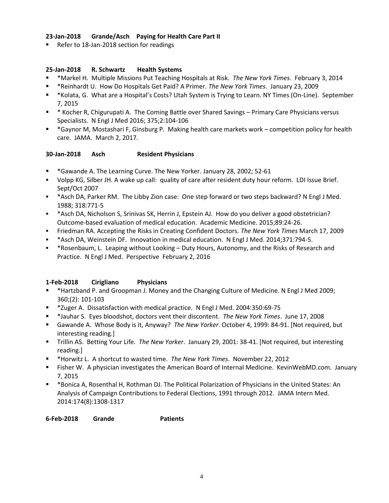#### **23-Jan-2018 Grande/Asch Paying for Health Care Part II**

Refer to 18-Jan-2018 section for readings

## **25-Jan-2018 R. Schwartz Health Systems**

- \*Markel H. Multiple Missions Put Teaching Hospitals at Risk. *The New York Times*. February 3, 2014
- \*Reinhardt U. How Do Hospitals Get Paid? A Primer. *The New York Times*. January 23, 2009
- \*Kolata, G. What are a Hospital's Costs? Utah System is Trying to Learn. NY Times (On-Line). September 7, 2015
- \* Kocher R, Chigurupati A. The Coming Battle over Shared Savings Primary Care Physicians versus Specialists. N Engl J Med 2016; 375;2:104-106
- \*Gaynor M, Mostashari F, Ginsburg P. Making health care markets work competition policy for health care. JAMA. March 2, 2017.

## **30-Jan-2018 Asch Resident Physicians**

- \*Gawande A. The Learning Curve. The New Yorker. January 28, 2002; 52-61
- Volpp KG, Silber JH. A wake up call: quality of care after resident duty hour reform. LDI Issue Brief. Sept/Oct 2007
- \* \*Asch DA, Parker RM. The Libby Zion case: One step forward or two steps backward? N Engl J Med. 1988; 318:771-5
- \* \*Asch DA, Nicholson S, Srinivas SK, Herrin J, Epstein AJ. How do you deliver a good obstetrician? Outcome-based evaluation of medical education. Academic Medicine. 2015;89:24-26.
- Friedman RA. Accepting the Risks in Creating Confident Doctors. *The New York Times* March 17, 2009
- \*Asch DA, Weinstein DF. Innovation in medical education. N Engl J Med. 2014;371:794-5.
- \*Rosenbaum, L. Leaping without Looking Duty Hours, Autonomy, and the Risks of Research and Practice. N Engl J Med. Perspective February 2, 2016

# **1-Feb-2018 Cirigliano Physicians**

- \*Hartzband P. and Groopman J. Money and the Changing Culture of Medicine. N Engl J Med 2009; 360;(2): 101-103
- \*Zuger A. Dissatisfaction with medical practice. N Engl J Med. 2004:350:69-75
- \*Jauhar S. Eyes bloodshot, doctors vent their discontent. *The New York Times*. June 17, 2008
- Gawande A. Whose Body is it, Anyway? *The New Yorker*. October 4, 1999: 84-91. [Not required, but interesting reading.]
- Trillin AS. Betting Your Life. *The New Yorker*. January 29, 2001: 38-41. [Not required, but interesting reading.]
- \*Horwitz L. A shortcut to wasted time. *The New York Times*. November 22, 2012
- Fisher W. A physician investigates the American Board of Internal Medicine. KevinWebMD.com. January 7, 2015
- \*Bonica A, Rosenthal H, Rothman DJ. The Political Polarization of Physicians in the United States: An Analysis of Campaign Contributions to Federal Elections, 1991 through 2012. JAMA Intern Med. 2014:174(8):1308-1317

| 6-Feb-2018 | Grande | <b>Patients</b> |
|------------|--------|-----------------|
|            |        |                 |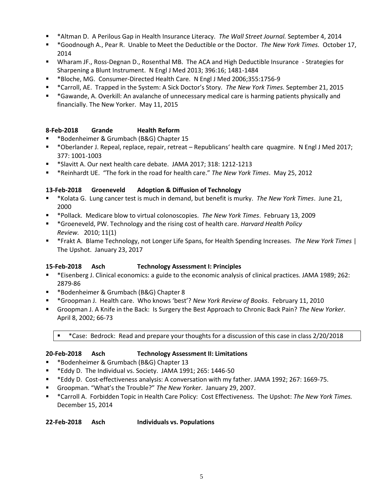- \*Altman D. A Perilous Gap in Health Insurance Literacy. *The Wall Street Journal.* September 4, 2014
- \*Goodnough A., Pear R. Unable to Meet the Deductible or the Doctor. *The New York Times.* October 17, 2014
- Wharam JF., Ross-Degnan D., Rosenthal MB. The ACA and High Deductible Insurance Strategies for Sharpening a Blunt Instrument. N Engl J Med 2013; 396:16; 1481-1484
- \*Bloche, MG. Consumer-Directed Health Care. N Engl J Med 2006;355:1756-9
- \*Carroll, AE. Trapped in the System: A Sick Doctor's Story. *The New York Times.* September 21, 2015
- \*Gawande, A. Overkill: An avalanche of unnecessary medical care is harming patients physically and financially. The New Yorker. May 11, 2015

## **8-Feb-2018 Grande Health Reform**

- \*Bodenheimer & Grumbach (B&G) Chapter 15
- \*Oberlander J. Repeal, replace, repair, retreat Republicans' health care quagmire. N Engl J Med 2017; 377: 1001-1003
- \*Slavitt A. Our next health care debate. JAMA 2017; 318: 1212-1213
- \*Reinhardt UE. "The fork in the road for health care." *The New York Times*. May 25, 2012

#### **13-Feb-2018 Groeneveld Adoption & Diffusion of Technology**

- \*Kolata G. Lung cancer test is much in demand, but benefit is murky. *The New York Times*. June 21, 2000
- \*Pollack. Medicare blow to virtual colonoscopies. *The New York Times*. February 13, 2009
- \*Groeneveld, PW. Technology and the rising cost of health care. *Harvard Health Policy Review.* 2010; 11(1)
- \*Frakt A. Blame Technology, not Longer Life Spans, for Health Spending Increases. *The New York Times* | The Upshot. January 23, 2017

#### **15-Feb-2018 Asch Technology Assessment I: Principles**

- \*Eisenberg J. Clinical economics: a guide to the economic analysis of clinical practices. JAMA 1989; 262: 2879-86
- \*Bodenheimer & Grumbach (B&G) Chapter 8
- \*Groopman J. Health care. Who knows 'best'? *New York Review of Books*. February 11, 2010
- Groopman J. A Knife in the Back: Is Surgery the Best Approach to Chronic Back Pain? *The New Yorker*. April 8, 2002; 66-73

\*Case: Bedrock: Read and prepare your thoughts for a discussion of this case in class 2/20/2018

#### **20-Feb-2018 Asch Technology Assessment II: Limitations**

- \*Bodenheimer & Grumbach (B&G) Chapter 13
- \*Eddy D. The Individual vs. Society. JAMA 1991; 265: 1446-50
- \*Eddy D. Cost-effectiveness analysis: A conversation with my father. JAMA 1992; 267: 1669-75.
- Groopman. "What's the Trouble?" *The New Yorker*. January 29, 2007.
- \*Carroll A. Forbidden Topic in Health Care Policy: Cost Effectiveness. The Upshot: *The New York Times.*  December 15, 2014

**22-Feb-2018 Asch Individuals vs. Populations**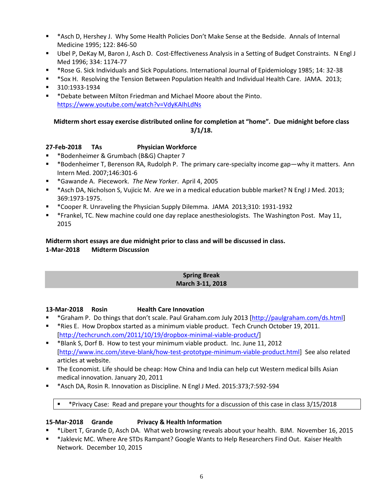- \*Asch D, Hershey J. Why Some Health Policies Don't Make Sense at the Bedside. Annals of Internal Medicine 1995; 122: 846-50
- Ubel P, DeKay M, Baron J, Asch D. Cost-Effectiveness Analysis in a Setting of Budget Constraints. N Engl J Med 1996; 334: 1174-77
- \*Rose G. Sick Individuals and Sick Populations. International Journal of Epidemiology 1985; 14: 32-38
- \*Sox H. Resolving the Tension Between Population Health and Individual Health Care. JAMA. 2013;
- 310:1933-1934
- \*Debate between Milton Friedman and Michael Moore about the Pinto. <https://www.youtube.com/watch?v=VdyKAIhLdNs>

# **Midterm short essay exercise distributed online for completion at "home". Due midnight before class 3/1/18.**

# **27-Feb-2018 TAs Physician Workforce**

- \*Bodenheimer & Grumbach (B&G) Chapter 7
- \*Bodenheimer T, Berenson RA, Rudolph P. The primary care-specialty income gap—why it matters. Ann Intern Med. 2007;146:301-6
- \*Gawande A. Piecework. *The New Yorker*. April 4, 2005
- \*Asch DA, Nicholson S, Vujicic M. Are we in a medical education bubble market? N Engl J Med. 2013; 369:1973-1975.
- \*Cooper R. Unraveling the Physician Supply Dilemma. JAMA 2013;310: 1931-1932
- \*Frankel, TC. New machine could one day replace anesthesiologists. The Washington Post.May 11, 2015

# **Midterm short essays are due midnight prior to class and will be discussed in class.**

## **1-Mar-2018 Midterm Discussion**

#### **Spring Break March 3-11, 2018**

# **13-Mar-2018 Rosin Health Care Innovation**

- \*Graham P. Do things that don't scale. Paul Graham.com July 2013 [\[http://paulgraham.com/ds.html\]](http://paulgraham.com/ds.html)
- \*Ries E. How Dropbox started as a minimum viable product. Tech Crunch October 19, 2011. [\[http://techcrunch.com/2011/10/19/dropbox-minimal-viable-product/\]](http://techcrunch.com/2011/10/19/dropbox-minimal-viable-product/)
- \*Blank S, Dorf B. How to test your minimum viable product. Inc. June 11, 2012 [\[http://www.inc.com/steve-blank/how-test-prototype-minimum-viable-product.html\]](http://www.inc.com/steve-blank/how-test-prototype-minimum-viable-product.html) See also related articles at website.
- The Economist. Life should be cheap: How China and India can help cut Western medical bills Asian medical innovation. January 20, 2011
- \*Asch DA, Rosin R. Innovation as Discipline. N Engl J Med. 2015:373;7:592-594
	- \* Privacy Case: Read and prepare your thoughts for a discussion of this case in class 3/15/2018

# **15-Mar-2018 Grande Privacy & Health Information**

- \*Libert T, Grande D, Asch DA. What web browsing reveals about your health. BJM. November 16, 2015
- \*Jaklevic MC. Where Are STDs Rampant? Google Wants to Help Researchers Find Out. Kaiser Health Network. December 10, 2015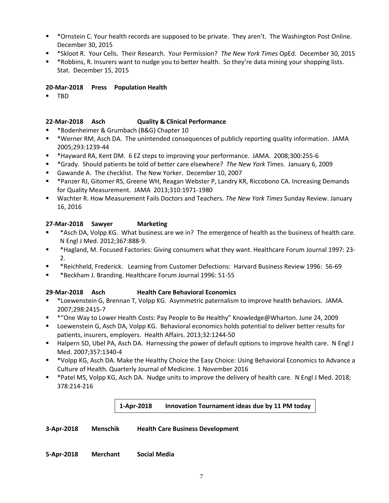- \*Ornstein C. Your health records are supposed to be private. They aren't. The Washington Post Online. December 30, 2015
- \*Skloot R. Your Cells. Their Research. Your Permission? *The New York Times* OpEd. December 30, 2015
- \* \*Robbins, R. Insurers want to nudge you to better health. So they're data mining your shopping lists. Stat. December 15, 2015

## **20-Mar-2018 Press Population Health**

**TRD** 

# **22-Mar-2018 Asch Quality & Clinical Performance**

- \*Bodenheimer & Grumbach (B&G) Chapter 10
- \*Werner RM, Asch DA. The unintended consequences of publicly reporting quality information. JAMA 2005;293:1239-44
- \*Hayward RA, Kent DM. 6 EZ steps to improving your performance. JAMA. 2008;300:255-6
- \*Grady. Should patients be told of better care elsewhere? *The New York Times*. January 6, 2009
- Gawande A. The checklist. The New Yorker. December 10, 2007
- \*Panzer RJ, Gitomer RS, Greene WH, Reagan Webster P, Landry KR, Riccobono CA. Increasing Demands for Quality Measurement. JAMA 2013;310:1971-1980
- Wachter R. How Measurement Fails Doctors and Teachers. *The New York Times* Sunday Review. January 16, 2016

# **27-Mar-2018 Sawyer Marketing**

- \*Asch DA, Volpp KG. What business are we in? The emergence of health as the business of health care. N Engl J Med. 2012;367:888-9.
- \*Hagland, M. Focused Factories: Giving consumers what they want. Healthcare Forum Journal 1997: 23- 2.
- \*Reichheld, Frederick. Learning from Customer Defections: Harvard Business Review 1996: 56-69
- \*Beckham J. Branding. Healthcare Forum Journal 1996: 51-55

# **29-Mar-2018 Asch Health Care Behavioral Economics**

- \*Loewenstein G, Brennan T, Volpp KG. Asymmetric paternalism to improve health behaviors. JAMA. 2007;298:2415-7
- \*"One Way to Lower Health Costs: Pay People to Be Healthy" Knowledge@Wharton. June 24, 2009
- Loewenstein G, Asch DA, Volpp KG. Behavioral economics holds potential to deliver better results for patients, insurers, employers. Health Affairs. 2013;32:1244-50
- Halpern SD, Ubel PA, Asch DA. Harnessing the power of default options to improve health care. N Engl J Med. 2007;357:1340-4
- \*Volpp KG, Asch DA. Make the Healthy Choice the Easy Choice: Using Behavioral Economics to Advance a Culture of Health. Quarterly Journal of Medicine. 1 November 2016
- \* Patel MS, Volpp KG, Asch DA. Nudge units to improve the delivery of health care. N Engl J Med. 2018; 378:214-216

# **1-Apr-2018 Innovation Tournament ideas due by 11 PM today**

**3-Apr-2018 Menschik Health Care Business Development**

**5-Apr-2018 Merchant Social Media**